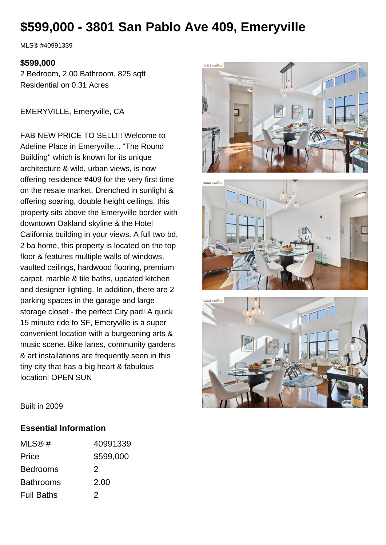# **\$599,000 - 3801 San Pablo Ave 409, Emeryville**

MLS® #40991339

#### **\$599,000**

2 Bedroom, 2.00 Bathroom, 825 sqft Residential on 0.31 Acres

EMERYVILLE, Emeryville, CA

FAB NEW PRICE TO SELL!!! Welcome to Adeline Place in Emeryville... "The Round Building" which is known for its unique architecture & wild, urban views, is now offering residence #409 for the very first time on the resale market. Drenched in sunlight & offering soaring, double height ceilings, this property sits above the Emeryville border with downtown Oakland skyline & the Hotel California building in your views. A full two bd, 2 ba home, this property is located on the top floor & features multiple walls of windows, vaulted ceilings, hardwood flooring, premium carpet, marble & tile baths, updated kitchen and designer lighting. In addition, there are 2 parking spaces in the garage and large storage closet - the perfect City pad! A quick 15 minute ride to SF, Emeryville is a super convenient location with a burgeoning arts & music scene. Bike lanes, community gardens & art installations are frequently seen in this tiny city that has a big heart & fabulous location! OPEN SUN







Built in 2009

#### **Essential Information**

| MLS@#             | 40991339  |
|-------------------|-----------|
| Price             | \$599,000 |
| <b>Bedrooms</b>   | 2         |
| <b>Bathrooms</b>  | 2.00      |
| <b>Full Baths</b> | 2         |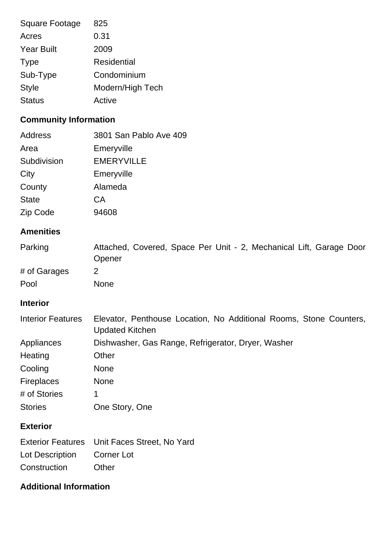| 825                |
|--------------------|
| 0.31               |
| 2009               |
| <b>Residential</b> |
| Condominium        |
| Modern/High Tech   |
| Active             |
|                    |

## **Community Information**

| Address      | 3801 San Pablo Ave 409 |
|--------------|------------------------|
| Area         | Emeryville             |
| Subdivision  | <b>EMERYVILLE</b>      |
| City         | Emeryville             |
| County       | Alameda                |
| <b>State</b> | CA                     |
| Zip Code     | 94608                  |

## **Amenities**

| Parking      | Attached, Covered, Space Per Unit - 2, Mechanical Lift, Garage Door<br>Opener |
|--------------|-------------------------------------------------------------------------------|
| # of Garages |                                                                               |
| Pool         | <b>None</b>                                                                   |

## **Interior**

| <b>Interior Features</b> | Elevator, Penthouse Location, No Additional Rooms, Stone Counters,<br><b>Updated Kitchen</b> |
|--------------------------|----------------------------------------------------------------------------------------------|
| Appliances               | Dishwasher, Gas Range, Refrigerator, Dryer, Washer                                           |
| Heating                  | Other                                                                                        |
| Cooling                  | <b>None</b>                                                                                  |
| <b>Fireplaces</b>        | <b>None</b>                                                                                  |
| # of Stories             | 1                                                                                            |
| <b>Stories</b>           | One Story, One                                                                               |
| <b>Exterior</b>          |                                                                                              |

|                            | Exterior Features Unit Faces Street, No Yard |
|----------------------------|----------------------------------------------|
| Lot Description Corner Lot |                                              |
| Construction               | Other                                        |

## **Additional Information**